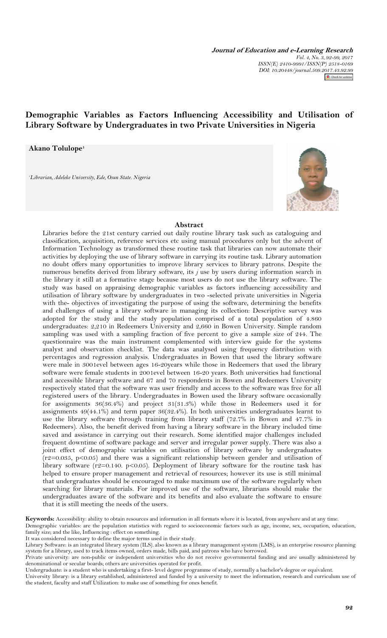**Journal of Education and e-Learning Research** *Vol. 4, No. 3, 92-99, 2017 ISSN(E) 2410-9991/ISSN(P) 2518-0169 DOI: 10.20448/journal.509.2017.43.92.99* Check for

# **Demographic Variables as Factors Influencing Accessibility and Utilisation of Library Software by Undergraduates in two Private Universities in Nigeria**

# **Akano Tolulope<sup>1</sup>**

*<sup>1</sup>Librarian, Adeleke University, Ede, Osun State. Nigeria*

# **Abstract**

Libraries before the 21st century carried out daily routine library task such as cataloguing and classification, acquisition, reference services etc using manual procedures only but the advent of Information Technology as transformed these routine task that libraries can now automate their activities by deploying the use of library software in carrying its routine task. Library automation no doubt offers many opportunities to improve library services to library patrons. Despite the numerous benefits derived from library software, its *j* use by users during information search in the library it still at a formative stage because most users do not use the library software. The study was based on appraising demographic variables as factors influencing accessibility and utilisation of library software by undergraduates in two -selected private universities in Nigeria with the- objectives of investigating the purpose of using the software, determining the benefits and challenges of using a library software in managing its collection: Descriptive survey was adopted for the study and the study population comprised of a total population of 4.860 undergraduates: 2,210 in Redeemers University and 2,660 in Bowen University. Simple random sampling was used with a sampling fraction of five percent to give a sample size of 244. The questionnaire was the main instrument complemented with interview guide for the systems analyst and observation checklist. The data was analysed using frequency distribution with percentages and regression analysis. Undergraduates in Bowen that used the library software were male in 3001evel between ages 16-20years while those in Redeemers that used the library software were female students in 2001evel between 16-20 years. Both universities had functional and accessible library software and 67 and 70 respondents in Bowen and Redeemers University respectively stated that the software was user friendly and access to the software was free for all registered users of the library. Undergraduates in Bowen used the library software occasionally for assignments 36(36.4%) and project 31(31.3%) while those in Redeemers used it for assignments 49(44.1%) and term paper 36(32.4%). In both universities undergraduates learnt to use the library software through training from library staff (72.7% in Bowen and 47.7% in Redeemers). Also, the benefit derived from having a library software in the library included time saved and assistance in carrying out their research. Some identified major challenges included frequent downtime of software package and server and irregular power supply. There was also a joint effect of demographic variables on utilisation of library software by undergraduates  $(r2=0.035, p<0.05)$  and there was a significant relationship between gender and utilisation of library software ( $r^2=0.140$ .  $p<0.05$ ). Deployment of library software for the routine task has helped to ensure proper management and retrieval of resources; however its use is still minimal that undergraduates should be encouraged to make maximum use of the software regularly when searching for library materials. For improved use of the software, librarians should make the undergraduates aware of the software and its benefits and also evaluate the software to ensure that it is still meeting the needs of the users.

**Keywords:** Accessibility: ability to obtain resources and information in all formats where it is located, from anywhere and at any time. Demographic variables: are the population statistics with regard to socioeconomic factors such as age, income, sex, occupation, education, family size; and the like, Influencing : effect on something.

It was considered necessary to define the major terms used in their study.

Private university: are non-public or independent universities who do not receive governmental funding and are usually administered by denominational or secular boards; others are universities operated for profit.

Undergraduate: is a student who is undertaking a first- level degree programme of study, normally a bachelor's degree or equivalent. University library: is a library established, administered and funded by a university to meet the information, research and curriculum use of the student, faculty and staff Utilization: to make use of something for ones benefit.



Library Software: is an integrated library system (ILS). also known as a library management system (LMS), is an enterprise resource planning system for a library, used to track items owned, orders made, bills paid, and patrons who have borrowed.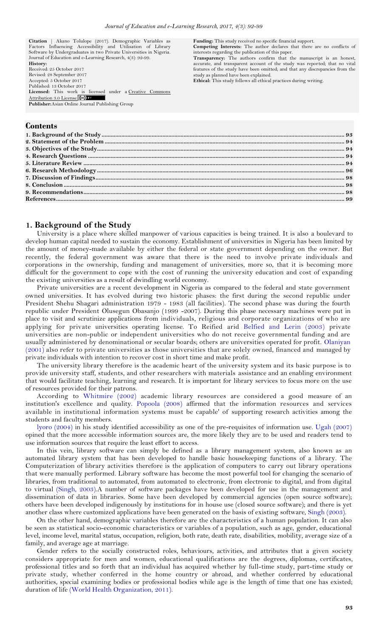**Citation** | Akano Tolulope (2017). Demographic Variables as Factors Influencing Accessibility and Utilisation of Library Software by Undergraduates in two Private Universities in Nigeria. Journal of Education and e-Learning Research, 4(3): 92-99. **History:** Received: 25 October 2017 Revised: 28 September 2017 Accepted: 5 October 2017 Published: 13 October 2017<br>Licensed: This work is licensed under a Creative Commons [Attribution 3.0 License](http://creativecommons.org/licenses/by/3.0/) (cc) BY **Publisher:**Asian Online Journal Publishing Group

**Funding:** This study received no specific financial support. **Competing Interests:** The author declares that there are no conflicts of

interests regarding the publication of this paper. **Transparency:** The authors confirm that the manuscript is an honest, accurate, and transparent account of the study was reported; that no vital features of the study have been omitted; and that any discrepancies from the study as planned have been explained.

**Ethical:** This study follows all ethical practices during writing.

# **Contents**

# <span id="page-1-0"></span>**1. Background of the Study**

University is a place where skilled manpower of various capacities is being trained. It is also a boulevard to develop human capital needed to sustain the economy. Establishment of universities in Nigeria has been limited by the amount of money-made available by either the federal or state government depending on the owner. But recently, the federal government was aware that there is the need to involve private individuals and corporations in the ownership, funding and management of universities, more so, that it is becoming more difficult for the government to cope with the cost of running the university education and cost of expanding the existing universities as a result of dwindling world economy.

Private universities are a recent development in Nigeria as compared to the federal and state government owned universities. It has evolved during two historic phases: the first during the second republic under President Shehu Shagari administration 1979 - 1983 (all facilities). The second phase was during the fourth republic under President Olusegun Obasanjo (1999 -2007). During this phase necessary machines were put in place to visit and scrutinize applications from individuals, religious and corporate organizations of who are applying for private universities operating license. To Reified arid [Belfied and Lerin \(2003\)](#page-7-1) private universities are non-public or independent universities who do not receive governmental funding and are usually administered by denominational or secular boards; others are universities operated for profit. [Olaniyan](#page-7-2)  [\(2001\)](#page-7-2) also refer to private universities as those universities that are solely owned, financed and managed by private individuals with intention to recover cost in short time and make profit.

The university library therefore is the academic heart of the university system and its basic purpose is to provide university staff, students, and other researchers with materials assistance and an enabling environment that would facilitate teaching, learning and research. It is important for library services to focus more on the use of resources provided for their patrons.

According to [Whitmire \(2002\)](#page-7-3) academic library resources are considered a good measure of an institution's excellence and quality. [Popoola \(2008\)](#page-7-4) affirmed that the information resources and services available in institutional information systems must be capable' of supporting research activities among the students and faculty members.

[lyoro \(2004\)](#page-7-5) in his study identified accessibility as one of the pre-requisites of information use. [Ugah \(2007\)](#page-7-6) opined that the more accessible information sources are, the more likely they are to be used and readers tend to use information sources that require the least effort to access.

In this vein, library software can simply be defined as a library management system, also known as an automated library system that has been developed to handle basic housekeeping functions of a library. The Computerization of library activities therefore is the application of computers to carry out library operations that were manually performed. Library software has become the most powerful tool for changing the scenario of libraries, from traditional to automated, from automated to electronic, from electronic to digital, and from digital to virtual [\(Singh, 2003\)](#page-7-7).A number of software packages have been developed for use in the management and dissemination of data in libraries. Some have been developed by commercial agencies (open source software); others have been developed indigenously by institutions for in house use (closed source software); and there is yet another class where customized applications have been generated on the basis of existing software, [Singh \(2003\)](#page-7-7).

On the other hand, demographic variables therefore are the characteristics of a human population. It can also be seen as statistical socio-economic characteristics or variables of a population, such as age, gender, educational level, income level, marital status, occupation, religion, both rate, death rate, disabilities, mobility, average size of a family, and average age at marriage.

Gender refers to the socially constructed roles, behaviours, activities, and attributes that a given society considers appropriate for men and women, educational qualifications are the degrees, diplomas, certificates, professional titles and so forth that an individual has acquired whether by full-time study, part-time study or private study, whether conferred in the home country or abroad, and whether conferred by educational authorities, special examining bodies or professional bodies while age is the length of time that one has existed; duration of life [\(World Health Organization, 2011\)](#page-7-8).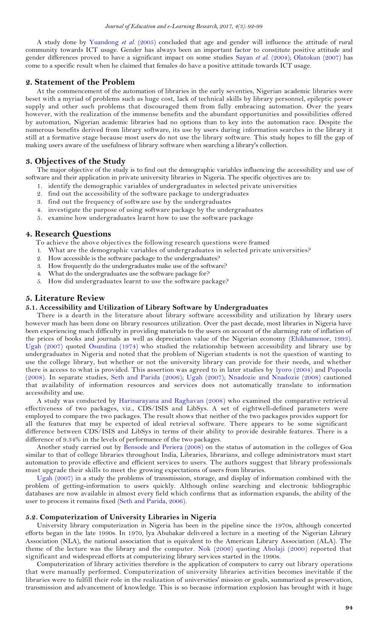A study done by [Yuandong](#page-7-9) *et al.* (2005) concluded that age and gender will influence the attitude of rural community towards ICT usage. Gender has always been an important factor to constitute positive attitude and gender differences proved to have a significant impact on some studies [Sayan](#page-7-10) *et al.* (2004); [Olatokun \(2007\)](#page-7-11) has come to a specific result when he claimed that females do have a positive attitude towards ICT usage.

### <span id="page-2-0"></span>**2. Statement of the Problem**

At the commencement of the automation of libraries in the early seventies, Nigerian academic libraries were beset with a myriad of problems such as huge cost, lack of technical skills by library personnel, epileptic power supply and other such problems that discouraged them from fully embracing automation. Over the years however, with the realization of the immense benefits and the abundant opportunities and possibilities offered by automation, Nigerian academic libraries had no options than to key into the automation race. Despite the numerous benefits derived from library software, its use by users during information searches in the library it still at a formative stage because most users do not use the library software. This study hopes to fill the gap of making users aware of the usefulness of library software when searching a library's collection.

### <span id="page-2-1"></span>**3. Objectives of the Study**

The major objective of the study is to find out the demographic variables influencing the accessibility and use of software and their application in private university libraries in Nigeria. The specific objectives are to:

- 1. identify the demographic variables of undergraduates in selected private universities
- 2. find out the accessibility of the software package to undergraduates
- 3. find out the frequency of software use by the undergraduates
- 4. investigate the purpose of using software package by the undergraduates
- 5. examine how undergraduates learnt how to use the software package

### <span id="page-2-2"></span>**4. Research Questions**

To achieve the above objectives the following research questions were framed

- 1. What are the demographic variables of undergraduates in selected private universities?
- 2. How accessible is the software package to the undergraduates?
- 3. How frequently do the undergraduates make use of the software?
- 4. What do the undergraduates use the software package for?
- 5. How did undergraduates learnt to use the software package?

### <span id="page-2-3"></span>**5. Literature Review**

#### **5.1. Accessibility and Utilization of Library Software by Undergraduates**

There is a dearth in the literature about library software accessibility and utilization by library users however much has been done on library resources utilization. Over the past decade, most libraries in Nigeria have been experiencing much difficulty in providing materials to the users on account of the alarming rate of inflation of the prices of books and journals as well as depreciation value of the Nigerian economy [\(Ehikhamenor, 1993\)](#page-7-12). [Ugah \(2007\)](#page-7-6) quoted [Osundina \(1974\)](#page-7-13) who studied the relationship between accessibility and library use by undergraduates in Nigeria and noted that the problem of Nigerian students is not the question of wanting to use the college library, but whether or not the university library can provide for their needs, and whether there is access to what is provided. This assertion was agreed to in later studies by [lyoro \(2004\)](#page-7-5) and [Popoola](#page-7-4)  [\(2008\)](#page-7-4). In separate studies, [Seth and Parida \(2006\)](#page-7-14); [Ugah \(2007\)](#page-7-6); [Nnadozie and Nnadozie \(2008\)](#page-7-15) cautioned that availability of information resources and services does not automatically translate to information accessibility and use.

A study was conducted by [Harinarayana and Raghavan \(2008\)](#page-7-16) who examined the comparative retrieval effectiveness of two packages, viz., CDS/ISIS and LibSys. A set of eightwell-defined parameters were employed to compare the two packages. The result shows that neither of the two packages provides support for all the features that may be expected of ideal retrieval software. There appears to be some significant difference between CDS/ISIS and LibSys in terms of their ability to provide desirable features. There is a difference of 9.34% in the levels of performance of the two packages.

Another study carried out by [Bensode and Periera \(2008\)](#page-7-17) on the status of automation in the colleges of Goa similar to that of college libraries throughout India, Libraries, librarians, and college administrators must start automation to provide effective and efficient services to users. The authors suggest that library professionals must upgrade their skills to meet the growing expectations of users from libraries.

[Ugah \(2007\)](#page-7-6) in a study the problems of transmission, storage, and display of information combined with the problem of getting-information to users quickly. Although online searching and electronic bibliographic databases are now available in almost every field which confirms that as information expands, the ability of the user to process it remains fixed [\(Seth and Parida, 2006\)](#page-7-14).

### **5.2. Computerization of University Libraries in Nigeria**

University library computerization in Nigeria has been in the pipeline since the 1970s, although concerted efforts began in the late 1990s. In 1970, lya Abubakar delivered a lecture in a meeting of the Nigerian Library Association (NLA), the national association that is equivalent to the American Library Association (ALA). The theme of the lecture was the library and the computer. [Nok \(2006\)](#page-7-18) quoting [Abolaji \(2000\)](#page-7-19) reported that significant and widespread efforts at computerizing library services started in the 1990s.

Computerization of library activities therefore is the application of computers to carry out library operations that were manually performed. Computerization of university libraries activities becomes inevitable if the libraries were to fulfill their role in the realization of universities' mission or goals, summarized as preservation, transmission and advancement of knowledge. This is so because information explosion has brought with it huge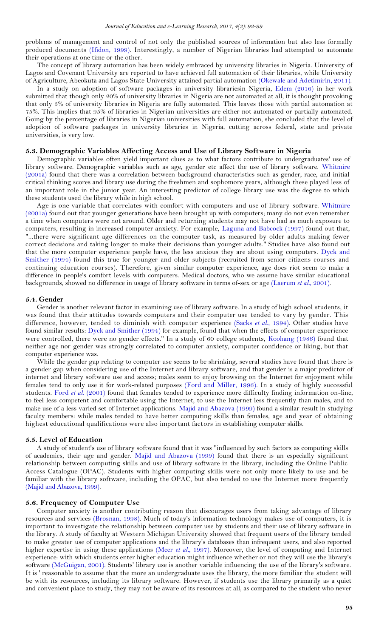problems of management and control of not only the published sources of information but also less formally produced documents [\(Ifidon, 1999\)](#page-7-20). Interestingly, a number of Nigerian libraries had attempted to automate their operations at one time or the other.

The concept of library automation has been widely embraced by university libraries in Nigeria. University of Lagos and Covenant University are reported to have achieved full automation of their libraries, while University of Agriculture, Abeokuta and Lagos State University attained partial automation [\(Okewale and Adetimirin, 2011\)](#page-7-21).

In a study on adoption of software packages in university librariesin Nigeria, [Edem \(2016\)](#page-7-22) in her work submitted that though only 20% of university libraries in Nigeria are not automated at all, it is thought provoking that only 5% of university libraries in Nigeria are fully automated. This leaves those with partial automation at 75%. This implies that 95% of libraries in Nigerian universities are either not automated or partially automated. Going by the percentage of libraries in Nigerian universities with full automation, she concluded that the level of adoption of software packages in university libraries in Nigeria, cutting across federal, state and private universities, is very low.

# **5.3. Demographic Variables Affecting Access and Use of Library Software in Nigeria**

Demographic variables often yield important clues as to what factors contribute to undergraduates' use of library software. Demographic variables such as age, gender etc affect the use of library software. [Whitmire](#page-7-23)  [\(2001a\)](#page-7-23) found that there was a correlation between background characteristics such as gender, race, and initial critical thinking scores and library use during the freshmen and sophomore years, although these played less of an important role in the junior year. An interesting predictor of college library use was the degree to which these students used the library while in high school.

Age is one variable that correlates with comfort with computers and use of library software. [Whitmire](#page-7-23)  [\(2001a\)](#page-7-23) found out that younger generations have been brought up with computers; many do not even remember a time when computers were not around. Older and returning students may not have had as much exposure to computers, resulting in increased computer anxiety. For example, [Laguna and Babcock \(1997\)](#page-7-24) found out that, "...there were significant age differences on the computer task, as measured by older adults making fewer correct decisions and taking longer to make their decisions than younger adults." Studies have also found out that the more computer experience people have, the less anxious they are about using computers. [Dyck and](#page-7-25)  [Smither \(1994\)](#page-7-25) found this true for younger and older subjects (recruited from senior citizens courses and continuing education courses). Therefore, given similar computer experience, age does riot seem to make a difference in people's comfort levels with computers. Medical doctors, who we assume have similar educational backgrounds, showed no difference in usage of library software in terms of-sex or age [\(Laerum](#page-7-26) *et al.*, 2001).

#### **5.4. Gender**

Gender is another relevant factor in examining use of library software. In a study of high school students, it was found that their attitudes towards computers and their computer use tended to vary by gender. This difference, however, tended to diminish with computer experience (Sacks *et al.*[, 1994\)](#page-7-27). Other studies have found similar results: [Dyck and Smither \(1994\)](#page-7-25) for example, found that when the effects of computer experience were controlled, there were no gender effects." In a study of 60 college students, [Koohang \(1986\)](#page-7-28) found that neither age nor gender was strongly correlated to computer anxiety, computer confidence or liking, but that computer experience was.

While the gender gap relating to computer use seems to be shrinking, several studies have found that there is a gender gap when considering use of the Internet and library software, and that gender is a major predictor of internet and library software use and access; males seem to enjoy browsing on the Internet for enjoyment while females tend to only use it for work-related purposes [\(Ford and Miller, 1996\)](#page-7-29). In a study of highly successful students. Ford *et al.* [\(2001\)](#page-7-30) found that females tended to experience more difficulty finding information on-line, to feel less competent and comfortable using the Internet, to use the Internet less frequently than males, and to make use of a less varied set of Internet applications. [Majid and Abazova \(1999\)](#page-7-31) found a similar result in studying faculty members: while males tended to have better computing skills than females, age and year of obtaining highest educational qualifications were also important factors in establishing computer skills.

#### **5.5. Level of Education**

A study of student's use of library software found that it was "influenced by such factors as computing skills of academics, their age and gender. [Majid and Abazova \(1999\)](#page-7-31) found that there is an especially significant relationship between computing skills and use of library software in the library, including the Online Public Access Catalogue (OPAC). Students with higher computing skills were not only more likely to use and be familiar with the library software, including the OPAC, but also tended to use the Internet more frequently [\(Majid and Abazova, 1999\)](#page-7-31).

#### **5.6. Frequency of Computer Use**

Computer anxiety is another contributing reason that discourages users from taking advantage of library resources and services [\(Brosnan, 1998\)](#page-7-32). Much of today's information technology makes use of computers, it is important to investigate the relationship between computer use by students and their use of library software in the library. A study of faculty at Western Michigan University showed that frequent users of the library tended to make greater use of computer applications and the library's databases than infrequent users, and also reported higher expertise in using these applications (Meer *et al.*[, 1997\)](#page-7-33). Moreover, the level of computing and Internet experience: with which students enter higher education might influence whether or not they will use the library's software [\(McGuigan, 2001\)](#page-7-34). Students' library use is another variable influencing the use of the library's software. It is ' reasonable to assume that the more an undergraduate uses the library, the more familiar the student will be with its resources, including its library software. However, if students use the library primarily as a quiet and convenient place to study, they may not be aware of its resources at all, as compared to the student who never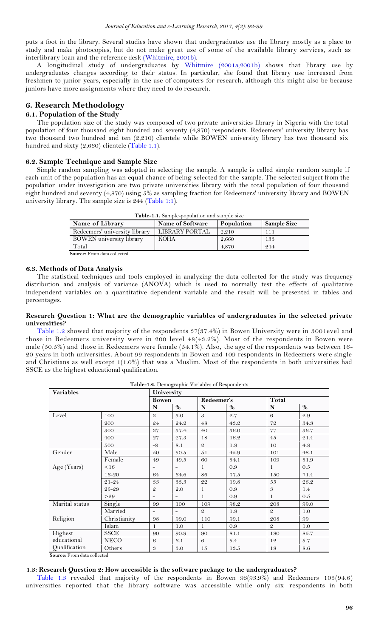puts a foot in the library. Several studies have shown that undergraduates use the library mostly as a place to study and make photocopies, but do not make great use of some of the available library services, such as interlibrary loan and the reference desk [\(Whitmire, 2001b\)](#page-7-35).

A longitudinal study of undergraduates by Whitmire (2001a;2001b) shows that library use by undergraduates changes according to their status. In particular, she found that library use increased from freshmen to junior years, especially in the use of computers for research, although this might also be because juniors have more assignments where they need to do research.

# <span id="page-4-0"></span>**6. Research Methodology**

# **6.1. Population of the Study**

The population size of the study was composed of two private universities library in Nigeria with the total population of four thousand eight hundred and seventy (4,870) respondents. Redeemers' university library has two thousand two hundred and ten (2,210) clientele while BOWEN university library has two thousand six hundred and sixty  $(2,660)$  clientele [\(Table 1.1\)](#page-4-1).

# **6.2. Sample Technique and Sample Size**

Simple random sampling was adopted in selecting the sample. A sample is called simple random sample if each unit of the population has an equal chance of being selected for the sample. The selected subject from the population under investigation are two private universities library with the total population of four thousand eight hundred and seventy (4,870) using 5% as sampling fraction for Redeemers' university library and BOWEN university library. The sample size is 244 [\(Table 1:1\)](#page-4-1).

<span id="page-4-1"></span>

| <b>Table-1.1.</b> Sample-population and sample size |                       |            |                    |  |  |  |  |  |
|-----------------------------------------------------|-----------------------|------------|--------------------|--|--|--|--|--|
| Name of Library                                     | Name of Software      | Population | <b>Sample Size</b> |  |  |  |  |  |
| Redeemers' university library                       | <b>LIBRARY PORTAL</b> | 2,210      | 111                |  |  |  |  |  |
| BOWEN university library                            | KOHA                  | 2,660      | 133                |  |  |  |  |  |
| Total                                               |                       | 4,870      | 244                |  |  |  |  |  |
| <b>Source:</b> From data collected                  |                       |            |                    |  |  |  |  |  |

# **6.3. Methods of Data Analysis**

The statistical techniques and tools employed in analyzing the data collected for the study was frequency distribution and analysis of variance (ANOVA) which is used to normally test the effects of qualitative independent variables on a quantitative dependent variable and the result will be presented in tables and percentages.

### **Research Question 1: What are the demographic variables of undergraduates in the selected private universities?**

[Table 1.2](#page-4-2) showed that majority of the respondents 37(37.4%) in Bowen University were in 3001evel and those in Redeemers university were in 200 level 48(43.2%). Most of the respondents in Bowen were male (50.5%) and those in Redeemers were female (54.1%). Also, the age of the respondents was between 16- 20 years in both universities. About 99 respondents in Bowen and 109 respondents in Redeemers were single and Christians as well except 1(1.0%) that was a Muslim. Most of the respondents in both universities had SSCE as the highest educational qualification.

<span id="page-4-2"></span>

| Table-1.2. Demographic Variables of Respondents |              |                |                          |                |            |                |      |  |  |  |
|-------------------------------------------------|--------------|----------------|--------------------------|----------------|------------|----------------|------|--|--|--|
| <b>Variables</b>                                |              | University     |                          |                |            |                |      |  |  |  |
|                                                 |              |                | <b>Bowen</b>             |                | Redeemer's |                |      |  |  |  |
|                                                 |              | N              | $\%$                     | N              | %          | N              | $\%$ |  |  |  |
| Level                                           | 100          | 3              | 3.0                      | 3              | 2.7        | 6              | 2.9  |  |  |  |
|                                                 | 200          | 24             | 24.2                     | 48             | 43.2       | 72             | 34.3 |  |  |  |
|                                                 | 300          | 37             | 37.4                     | 40             | 36.0       | 77             | 36.7 |  |  |  |
|                                                 | 400          | 27             | 27.3                     | 18             | 16.2       | 45             | 21.4 |  |  |  |
|                                                 | 500          | -8             | 8.1                      | $\mathfrak{D}$ | 1.8        | 10             | 4.8  |  |  |  |
| Gender                                          | Male         | 50             | 50.5                     | $5\sqrt{1}$    | 45.9       | 101            | 48.1 |  |  |  |
|                                                 | Female       | 49             | 49.5                     | 60             | 54.1       | 109            | 51.9 |  |  |  |
| Age (Years)                                     | < 16         |                |                          | 1              | 0.9        | 1              | 0.5  |  |  |  |
|                                                 | $16 - 20$    | 64             | 64.6                     | 86             | 77.5       | 150            | 71.4 |  |  |  |
|                                                 | $21 - 24$    | 33             | 33.3                     | 22             | 19.8       | 55             | 26.2 |  |  |  |
|                                                 | 25-29        | $\mathfrak{D}$ | 2.0                      | 1              | 0.9        | 3              | 1.4  |  |  |  |
|                                                 | >29          |                |                          | 1              | 0.9        | 1              | 0.5  |  |  |  |
| Marital status                                  | Single       | 99             | 100                      | 109            | 98.2       | 208            | 99.0 |  |  |  |
|                                                 | Married      | -              | $\overline{\phantom{0}}$ | $\mathfrak{D}$ | 1.8        | $\mathfrak{D}$ | 1.0  |  |  |  |
| Religion                                        | Christianity | 98             | 99.0                     | 110            | 99.1       | 208            | 99   |  |  |  |
|                                                 | Islam        | 1              | 1.0                      | 1              | 0.9        | $\mathfrak{D}$ | 1.0  |  |  |  |
| Highest                                         | <b>SSCE</b>  | 90             | 90.9                     | 90             | 81.1       | 180            | 85.7 |  |  |  |
| educational                                     | <b>NECO</b>  | 6              | 6.1                      | 6              | 5.4        | 12             | 5.7  |  |  |  |
| Qualification                                   | Others       | 3              | 3.0                      | 15             | 13.5       | 18             | 8.6  |  |  |  |

**Source:** From data collected

# **1.3: Research Question 2: How accessible is the software package to the undergraduates?**

[Table 1.3](#page-5-0) revealed that majority of the respondents in Bowen 93(93.9%) and Redeemers 105(94.6) universities reported that the library software was accessible while only six respondents in both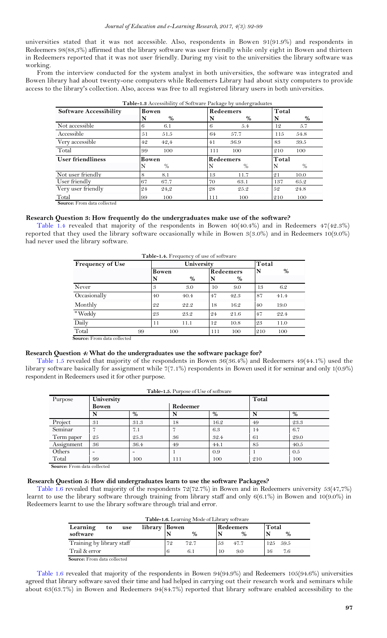universities stated that it was not accessible. Also, respondents in Bowen 91(91.9%) and respondents in Redeemers 98(88,3%) affirmed that the library software was user friendly while only eight in Bowen and thirteen in Redeemers reported that it was not user friendly. During my visit to the universities the library software was working.

From the interview conducted for the system analyst in both universities, the software was integrated and Bowen library had about twenty-one computers while Redeemers Library had about sixty computers to provide access to the library's collection. Also, access was free to all registered library users in both universities.

| <b>Software Accessibility</b> | Bowen         | <b>Table-1.3</b> Accessibility of Software I achage by undergraduates<br>Redeemers | Total     |
|-------------------------------|---------------|------------------------------------------------------------------------------------|-----------|
|                               | %             | %                                                                                  | %         |
|                               | N             | N                                                                                  | N         |
| Not accessible                | 6             | 5.4                                                                                | 5.7       |
|                               | 6.1           | 6                                                                                  | 12        |
| Accessible                    | 51            | 57.7                                                                               | 54.8      |
|                               | 51.5          | 64                                                                                 | 115       |
| Very accessible               | 42,4          | 41                                                                                 | 39.5      |
|                               | 42            | 36.9                                                                               | 83        |
| Total                         | .99           | 111                                                                                | 210       |
|                               | 100           | 100                                                                                | 100       |
| <b>User friendliness</b>      | <b>Bowen</b>  | <b>Redeemers</b>                                                                   | Total     |
|                               | $\frac{0}{0}$ | $\%$                                                                               | $\%$<br>N |
| Not user friendly             | 8             | 11.7                                                                               | 21        |
|                               | 8.1           | 13                                                                                 | 10.0      |
| User friendly                 | 67            | 70                                                                                 | 137       |
|                               | 67.7          | 63.1                                                                               | 65.2      |
| Very user friendly            | 24            | 25.2                                                                               | 52        |
|                               | 24,2          | 28                                                                                 | 24.8      |
| Total                         | 99            | 111                                                                                | 210       |
|                               | 100           | 100                                                                                | 100       |

<span id="page-5-0"></span>

| Table-1.3 Accessibility of Software Package by undergraduates |  |  |
|---------------------------------------------------------------|--|--|
|                                                               |  |  |

 **Source:** From data collected

# **Research Question 3: How frequently do the undergraduates make use of the software?**

[Table 1.4](#page-5-1) revealed that majority of the respondents in Bowen 40(40.4%) and in Redeemers 47(42.3%) reported that they used the library software occasionally while in Bowen 3(3.0%) and in Redeemers 10(9.0%) had never used the library software.

<span id="page-5-1"></span>

| Table-1.4. Frequency of use of software |       |       |           |      |     |      |  |  |  |
|-----------------------------------------|-------|-------|-----------|------|-----|------|--|--|--|
| <b>Frequency of Use</b>                 |       | Total |           |      |     |      |  |  |  |
|                                         | Bowen |       | Redeemers |      | N   | $\%$ |  |  |  |
|                                         | N     | %     |           | $\%$ |     |      |  |  |  |
| Never                                   | 3     | 3.0   | 10        | 9.0  | 13  | 6.2  |  |  |  |
| Occasionally                            | 40    | 40.4  | 47        | 42.3 | 87  | 41.4 |  |  |  |
| Monthly                                 | 22    | 22.2  | 18        | 16.2 | 40  | 19.0 |  |  |  |
| "Weekly                                 | 23    | 23.2  | 24        | 21.6 | 47  | 22.4 |  |  |  |
| Daily                                   | 11    | 11.1  | 12        | 10.8 | 23  | 11.0 |  |  |  |
| Total<br>99                             | 100   |       | 111       | 100  | 210 | 100  |  |  |  |

 **Source:** From data collected

#### **Research Question 4: What do the undergraduates use the software package for?**

[Table 1.5](#page-5-2) revealed that majority of the respondents in Bowen 36(36.4%) and Redeemers 49(44.1%) used the library software basically for assignment while 7(7.1%) respondents in Bowen used it for seminar and only 1(0.9%) respondent in Redeemers used it for other purpose.

| Purpose    | University   |      | Total    |      |     |      |  |  |
|------------|--------------|------|----------|------|-----|------|--|--|
|            | <b>Bowen</b> |      | Redeemer |      |     |      |  |  |
|            |              | $\%$ | N        | %    | N   | %    |  |  |
| Project    | 31           | 31.3 | 18       | 16.2 | 49  | 23.3 |  |  |
| Seminar    |              | 7.1  |          | 6.3  | 14  | 6.7  |  |  |
| Term paper | 25           | 25.3 | 36       | 32.4 | 61  | 29.0 |  |  |
| Assignment | 36           | 36.4 | 49       | 44.1 | 85  | 40.5 |  |  |
| Others     | -            |      |          | 0.9  |     | 0.5  |  |  |
| Total      | 99           | 100  | 111      | 100  | 210 | 100  |  |  |

<span id="page-5-2"></span>**Table-1.5.** Purpose of Use of software

 **Source:** From data collected

# **Research Question 5: How did undergraduates learn to use the software Packages?**

[Table 1.6](#page-5-3) revealed that majority of the respondents 72(72.7%) in Bowen and in Redeemers university 53(47,7%) learnt to use the library software through training from library staff and only 6(6.1%) in Bowen and 10(9.0%) in Redeemers learnt to use the library software through trial and error.

<span id="page-5-3"></span>

| Table-1.6. Learning Mode of Library software |               |    |               |    |                  |               |  |  |  |
|----------------------------------------------|---------------|----|---------------|----|------------------|---------------|--|--|--|
| Learning<br>to<br>use                        | library Bowen |    |               |    | <b>Redeemers</b> | Total         |  |  |  |
| software                                     |               |    | $\frac{0}{0}$ |    | $\%$             | $\%$          |  |  |  |
| Training by library staff                    |               | 79 | 72.7          | 53 | 47.7             | - 59.5<br>125 |  |  |  |
| Trail & error                                |               |    |               | 10 | 9.0              | 7.6<br>16     |  |  |  |
| <b>Source:</b> From data collected           |               |    |               |    |                  |               |  |  |  |

[Table 1.6](#page-5-3) revealed that majority of the respondents in Bowen 94(94.9%) and Redeemers 105(94.6%) universities agreed that library software saved their time and had helped in carrying out their research work and seminars while about 63(63.7%) in Bowen and Redeemers 94(84.7%) reported that library software enabled accessibility to the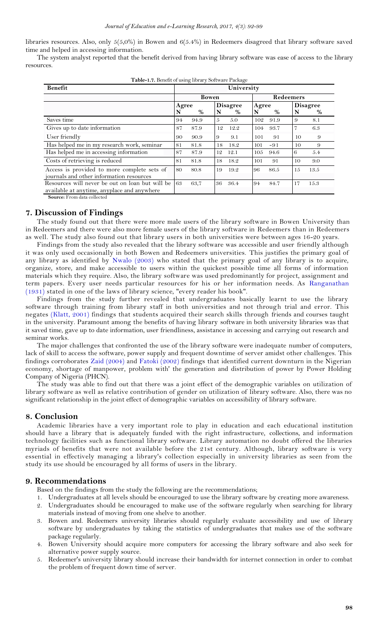libraries resources. Also, only 5(5,0%) in Bowen and 6(5.4%) in Redeemers disagreed that library software saved time and helped in accessing information.

The system analyst reported that the benefit derived from having library software was ease of access to the library resources.

| <b>Benefit</b>                                  | University |      |               |                 |       |       |                  |      |  |
|-------------------------------------------------|------------|------|---------------|-----------------|-------|-------|------------------|------|--|
|                                                 |            |      | <b>Bowen</b>  |                 |       |       | <b>Redeemers</b> |      |  |
|                                                 | Agree      |      |               | <b>Disagree</b> | Agree |       | <b>Disagree</b>  |      |  |
|                                                 | N          | $\%$ | N             | %               | N     | $\%$  | N                | %    |  |
| Saves time                                      | 94         | 94.9 | $\mathcal{L}$ | 5.0             | 102   | 91.9  | 9                | 8.1  |  |
| Gives up to date information                    | 87         | 87.9 | 12            | 12.2            | 104   | 93.7  | $\overline{7}$   | 6.3  |  |
| User friendly                                   | 90         | 90.9 | 9             | 9.1             | 101   | 91    | 10               | 9    |  |
| Has helped me in my research work, seminar      | 81         | 81.8 | 18            | 18.2            | 101   | $-91$ | 10               | 9    |  |
| Has helped me in accessing information          | 87         | 87.9 | 12            | 12.1            | 105   | 94.6  | 6                | 5.4  |  |
| Costs of retrieving is reduced                  | 81         | 81.8 | 18            | 18.2            | 101   | 91    | 10               | 9.0  |  |
| Access is provided to more complete sets of     | 80         | 80.8 | 19            | 19.2            | 96    | 86.5  | 15               | 13.5 |  |
| journals and other information resources        |            |      |               |                 |       |       |                  |      |  |
| Resources will never be out on loan but will be | 63         | 63,7 | 36            | 36.4            | 94    | 84.7  | 17               | 15.3 |  |
| available at anytime, anyplace and anywhere     |            |      |               |                 |       |       |                  |      |  |

| Table-1.7. Benefit of using library Software Package |  |  |  |  |  |  |
|------------------------------------------------------|--|--|--|--|--|--|
|------------------------------------------------------|--|--|--|--|--|--|

<span id="page-6-0"></span>**7. Discussion of Findings**

The study found out that there were more male users of the library software in Bowen University than in Redeemers and there were also more female users of the library software in Redeemers than in Redeemers as well. The study also found out that library users in both universities were between ages 16-20 years.

Findings from the study also revealed that the library software was accessible and user friendly although it was only used occasionally in both Bowen and Redeemers universities. This justifies the primary goal of any library as identified by [Nwalo \(2003\)](#page-7-36) who stated that the primary goal of any library is to acquire, organize, store, and make accessible to users within the quickest possible time all forms of information materials which they require. Also, the library software was used predominantly for project, assignment and term papers. Every user needs particular resources for his or her information needs. As [Ranganathan](#page-7-37)  [\(1931\)](#page-7-37) stated in one of the laws of library science, "every reader his book".

Findings from the study further revealed that undergraduates basically learnt to use the library software through training from library staff in both universities and not through trial and error. This negates [\(Klatt, 2001\)](#page-7-38) findings that students acquired their search skills through friends and courses taught in the university. Paramount among the benefits of having library software in both university libraries was that it saved time, gave up to date information, user friendliness, assistance in accessing and carrying out research and seminar works.

The major challenges that confronted the use of the library software were inadequate number of computers, lack of skill to access the software, power supply and frequent downtime of server amidst other challenges. This findings corroborates [Zaid \(2004\)](#page-7-39) and [Fatoki \(2002\)](#page-7-40) findings that identified current downturn in the Nigerian economy, shortage of manpower, problem with' the generation and distribution of power by Power Holding Company of Nigeria (PHCN).

The study was able to find out that there was a joint effect of the demographic variables on utilization of library software as well as relative contribution of gender on utilization of library software. Also, there was no significant relationship in the joint effect of demographic variables on accessibility of library software.

### <span id="page-6-1"></span>**8. Conclusion**

Academic libraries have a very important role to play in education and each educational institution should have a library that is adequately funded with the right infrastructure, collections, and information technology facilities such as functional library software. Library automation no doubt offered the libraries myriads of benefits that were not available before the 21st century. Although, library software is very essential in effectively managing a library's collection especially in university libraries as seen from the study its use should be encouraged by all forms of users in the library.

### <span id="page-6-2"></span>**9. Recommendations**

Based on the findings from the study the following are the recommendations;

- 1. Undergraduates at all levels should be encouraged to use the library software by creating more awareness.
- 2. Undergraduates should be encouraged to make use of the software regularly when searching for library materials instead of moving from one shelve to another.
- 3. Bowen and. Redeemers university libraries should regularly evaluate accessibility and use of library software by undergraduates by taking the statistics of undergraduates that makes use of the software package regularly.
- 4. Bowen University should acquire more computers for accessing the library software and also seek for alternative power supply source.
- 5. Redeemer's university library should increase their bandwidth for internet connection in order to combat the problem of frequent down time of server.